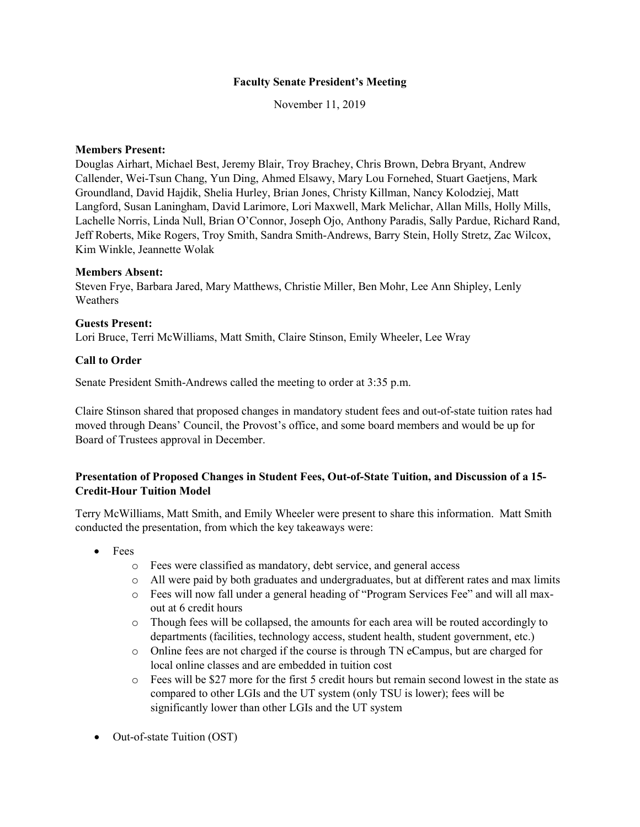## **Faculty Senate President's Meeting**

November 11, 2019

#### **Members Present:**

Douglas Airhart, Michael Best, Jeremy Blair, Troy Brachey, Chris Brown, Debra Bryant, Andrew Callender, Wei-Tsun Chang, Yun Ding, Ahmed Elsawy, Mary Lou Fornehed, Stuart Gaetjens, Mark Groundland, David Hajdik, Shelia Hurley, Brian Jones, Christy Killman, Nancy Kolodziej, Matt Langford, Susan Laningham, David Larimore, Lori Maxwell, Mark Melichar, Allan Mills, Holly Mills, Lachelle Norris, Linda Null, Brian O'Connor, Joseph Ojo, Anthony Paradis, Sally Pardue, Richard Rand, Jeff Roberts, Mike Rogers, Troy Smith, Sandra Smith-Andrews, Barry Stein, Holly Stretz, Zac Wilcox, Kim Winkle, Jeannette Wolak

#### **Members Absent:**

Steven Frye, Barbara Jared, Mary Matthews, Christie Miller, Ben Mohr, Lee Ann Shipley, Lenly Weathers

## **Guests Present:**

Lori Bruce, Terri McWilliams, Matt Smith, Claire Stinson, Emily Wheeler, Lee Wray

## **Call to Order**

Senate President Smith-Andrews called the meeting to order at 3:35 p.m.

Claire Stinson shared that proposed changes in mandatory student fees and out-of-state tuition rates had moved through Deans' Council, the Provost's office, and some board members and would be up for Board of Trustees approval in December.

# **Presentation of Proposed Changes in Student Fees, Out-of-State Tuition, and Discussion of a 15- Credit-Hour Tuition Model**

Terry McWilliams, Matt Smith, and Emily Wheeler were present to share this information. Matt Smith conducted the presentation, from which the key takeaways were:

- Fees
	- o Fees were classified as mandatory, debt service, and general access
	- o All were paid by both graduates and undergraduates, but at different rates and max limits
	- o Fees will now fall under a general heading of "Program Services Fee" and will all maxout at 6 credit hours
	- o Though fees will be collapsed, the amounts for each area will be routed accordingly to departments (facilities, technology access, student health, student government, etc.)
	- o Online fees are not charged if the course is through TN eCampus, but are charged for local online classes and are embedded in tuition cost
	- o Fees will be \$27 more for the first 5 credit hours but remain second lowest in the state as compared to other LGIs and the UT system (only TSU is lower); fees will be significantly lower than other LGIs and the UT system
- Out-of-state Tuition (OST)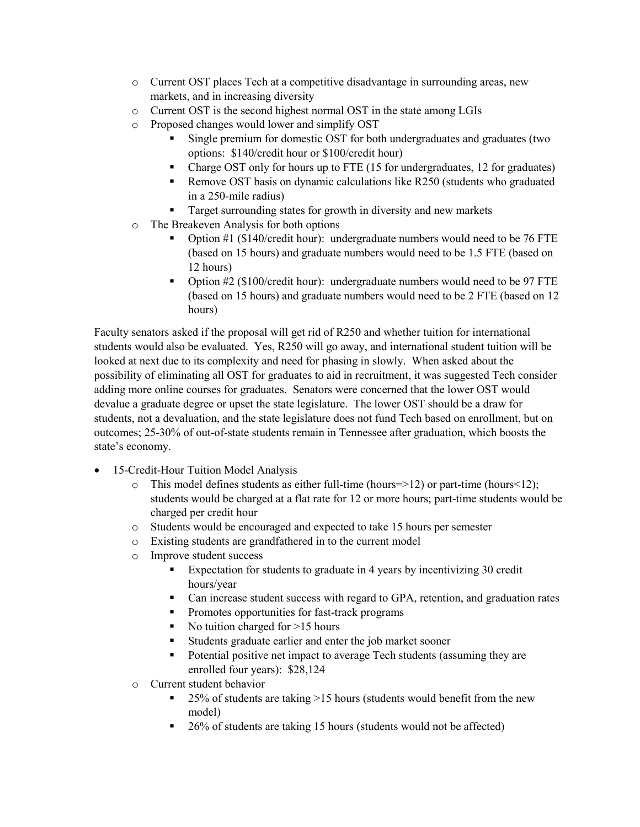- o Current OST places Tech at a competitive disadvantage in surrounding areas, new markets, and in increasing diversity
- o Current OST is the second highest normal OST in the state among LGIs
- o Proposed changes would lower and simplify OST
	- Single premium for domestic OST for both undergraduates and graduates (two options: \$140/credit hour or \$100/credit hour)
	- Charge OST only for hours up to FTE (15 for undergraduates, 12 for graduates)
	- Remove OST basis on dynamic calculations like R250 (students who graduated in a 250-mile radius)
	- Target surrounding states for growth in diversity and new markets
- o The Breakeven Analysis for both options
	- Option #1 (\$140/credit hour): undergraduate numbers would need to be 76 FTE (based on 15 hours) and graduate numbers would need to be 1.5 FTE (based on 12 hours)
	- Option #2 (\$100/credit hour): undergraduate numbers would need to be 97 FTE (based on 15 hours) and graduate numbers would need to be 2 FTE (based on 12 hours)

Faculty senators asked if the proposal will get rid of R250 and whether tuition for international students would also be evaluated. Yes, R250 will go away, and international student tuition will be looked at next due to its complexity and need for phasing in slowly. When asked about the possibility of eliminating all OST for graduates to aid in recruitment, it was suggested Tech consider adding more online courses for graduates. Senators were concerned that the lower OST would devalue a graduate degree or upset the state legislature. The lower OST should be a draw for students, not a devaluation, and the state legislature does not fund Tech based on enrollment, but on outcomes; 25-30% of out-of-state students remain in Tennessee after graduation, which boosts the state's economy.

- 15-Credit-Hour Tuition Model Analysis
	- $\circ$  This model defines students as either full-time (hours=>12) or part-time (hours<12); students would be charged at a flat rate for 12 or more hours; part-time students would be charged per credit hour
	- o Students would be encouraged and expected to take 15 hours per semester
	- o Existing students are grandfathered in to the current model
	- o Improve student success
		- Expectation for students to graduate in 4 years by incentivizing 30 credit hours/year
		- Can increase student success with regard to GPA, retention, and graduation rates
		- **Promotes opportunities for fast-track programs**
		- No tuition charged for  $>15$  hours
		- Students graduate earlier and enter the job market sooner
		- Potential positive net impact to average Tech students (assuming they are enrolled four years): \$28,124
	- o Current student behavior
		- $\approx 25\%$  of students are taking  $>15$  hours (students would benefit from the new model)
		- $\blacksquare$  26% of students are taking 15 hours (students would not be affected)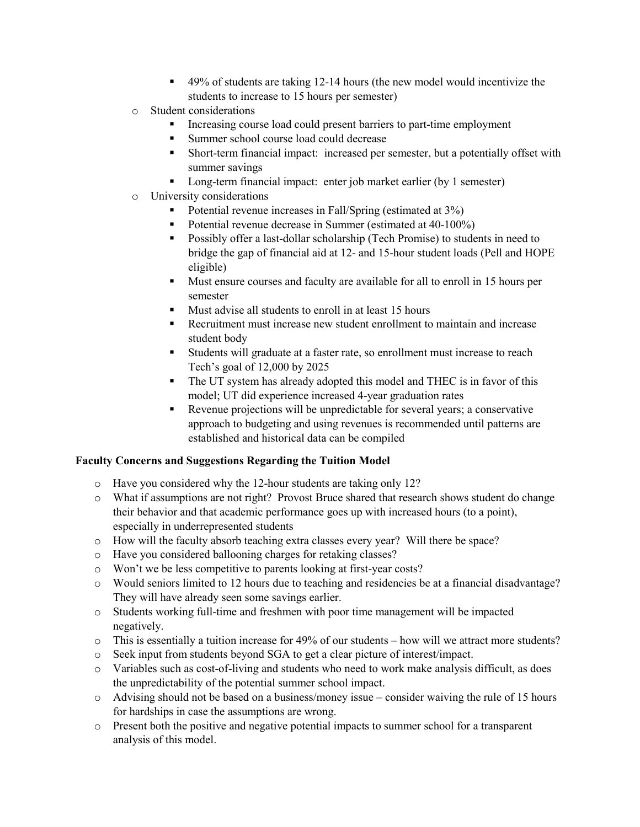- 49% of students are taking 12-14 hours (the new model would incentivize the students to increase to 15 hours per semester)
- o Student considerations
	- Increasing course load could present barriers to part-time employment
	- Summer school course load could decrease
	- Short-term financial impact: increased per semester, but a potentially offset with summer savings
	- Long-term financial impact: enter job market earlier (by 1 semester)
- o University considerations
	- Potential revenue increases in Fall/Spring (estimated at 3%)
	- Potential revenue decrease in Summer (estimated at 40-100%)
	- **Possibly offer a last-dollar scholarship (Tech Promise) to students in need to** bridge the gap of financial aid at 12- and 15-hour student loads (Pell and HOPE eligible)
	- Must ensure courses and faculty are available for all to enroll in 15 hours per semester
	- Must advise all students to enroll in at least 15 hours
	- Recruitment must increase new student enrollment to maintain and increase student body
	- Students will graduate at a faster rate, so enrollment must increase to reach Tech's goal of 12,000 by 2025
	- The UT system has already adopted this model and THEC is in favor of this model; UT did experience increased 4-year graduation rates
	- Revenue projections will be unpredictable for several years; a conservative approach to budgeting and using revenues is recommended until patterns are established and historical data can be compiled

# **Faculty Concerns and Suggestions Regarding the Tuition Model**

- o Have you considered why the 12-hour students are taking only 12?
- o What if assumptions are not right? Provost Bruce shared that research shows student do change their behavior and that academic performance goes up with increased hours (to a point), especially in underrepresented students
- o How will the faculty absorb teaching extra classes every year? Will there be space?
- o Have you considered ballooning charges for retaking classes?
- o Won't we be less competitive to parents looking at first-year costs?
- o Would seniors limited to 12 hours due to teaching and residencies be at a financial disadvantage? They will have already seen some savings earlier.
- o Students working full-time and freshmen with poor time management will be impacted negatively.
- $\circ$  This is essentially a tuition increase for 49% of our students how will we attract more students?
- o Seek input from students beyond SGA to get a clear picture of interest/impact.
- o Variables such as cost-of-living and students who need to work make analysis difficult, as does the unpredictability of the potential summer school impact.
- $\circ$  Advising should not be based on a business/money issue consider waiving the rule of 15 hours for hardships in case the assumptions are wrong.
- o Present both the positive and negative potential impacts to summer school for a transparent analysis of this model.